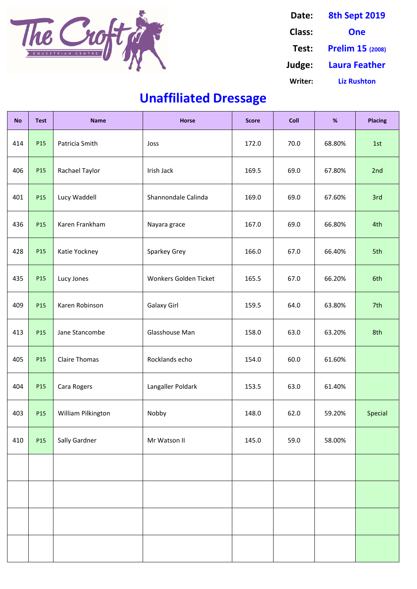| <b>No</b> | <b>Test</b>     | <b>Name</b>          | <b>Horse</b>          | <b>Score</b> | <b>Coll</b> | %      | <b>Placing</b> |
|-----------|-----------------|----------------------|-----------------------|--------------|-------------|--------|----------------|
| 414       | P <sub>15</sub> | Patricia Smith       | Joss                  | 172.0        | 70.0        | 68.80% | 1st            |
| 406       | P <sub>15</sub> | Rachael Taylor       | Irish Jack            | 169.5        | 69.0        | 67.80% | 2nd            |
| 401       | P <sub>15</sub> | Lucy Waddell         | Shannondale Calinda   | 169.0        | 69.0        | 67.60% | 3rd            |
| 436       | P <sub>15</sub> | Karen Frankham       | Nayara grace          | 167.0        | 69.0        | 66.80% | 4th            |
| 428       | P <sub>15</sub> | Katie Yockney        | <b>Sparkey Grey</b>   | 166.0        | 67.0        | 66.40% | 5th            |
| 435       | P <sub>15</sub> | Lucy Jones           | Wonkers Golden Ticket | 165.5        | 67.0        | 66.20% | 6th            |
| 409       | P <sub>15</sub> | Karen Robinson       | <b>Galaxy Girl</b>    | 159.5        | 64.0        | 63.80% | 7th            |
| 413       | P15             | Jane Stancombe       | Glasshouse Man        | 158.0        | 63.0        | 63.20% | 8th            |
| 405       | P <sub>15</sub> | <b>Claire Thomas</b> | Rocklands echo        | 154.0        | 60.0        | 61.60% |                |
| 404       | P <sub>15</sub> | Cara Rogers          | Langaller Poldark     | 153.5        | 63.0        | 61.40% |                |
| 403       | P <sub>15</sub> | William Pilkington   | Nobby                 | 148.0        | 62.0        | 59.20% | Special        |
| 410       | P <sub>15</sub> | <b>Sally Gardner</b> | Mr Watson II          | 145.0        | 59.0        | 58.00% |                |
|           |                 |                      |                       |              |             |        |                |
|           |                 |                      |                       |              |             |        |                |
|           |                 |                      |                       |              |             |        |                |
|           |                 |                      |                       |              |             |        |                |

## **Unaffiliated Dressage**



**Writer: Liz Rushton Judge: Laura Feather Date: 8th Sept 2019 Class: One Test: Prelim 15 (2008)**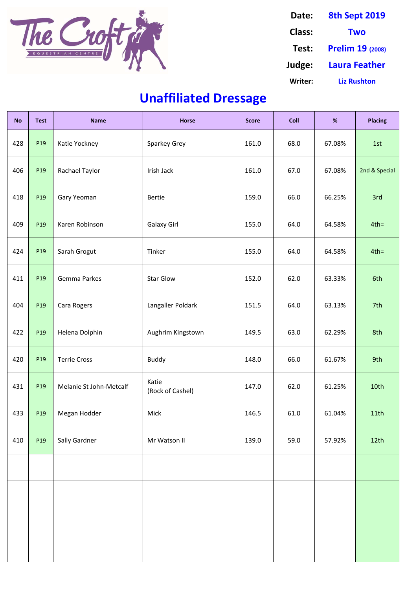| <b>No</b> | <b>Test</b>     | <b>Name</b>             | <b>Horse</b>              | <b>Score</b> | <b>Coll</b> | %      | <b>Placing</b>   |
|-----------|-----------------|-------------------------|---------------------------|--------------|-------------|--------|------------------|
| 428       | P <sub>19</sub> | Katie Yockney           | <b>Sparkey Grey</b>       | 161.0        | 68.0        | 67.08% | 1st              |
| 406       | P <sub>19</sub> | <b>Rachael Taylor</b>   | Irish Jack                | 161.0        | 67.0        | 67.08% | 2nd & Special    |
| 418       | P <sub>19</sub> | Gary Yeoman             | <b>Bertie</b>             | 159.0        | 66.0        | 66.25% | 3rd              |
| 409       | P <sub>19</sub> | Karen Robinson          | <b>Galaxy Girl</b>        | 155.0        | 64.0        | 64.58% | $4th =$          |
| 424       | P <sub>19</sub> | Sarah Grogut            | Tinker                    | 155.0        | 64.0        | 64.58% | $4th =$          |
| 411       | P <sub>19</sub> | <b>Gemma Parkes</b>     | <b>Star Glow</b>          | 152.0        | 62.0        | 63.33% | 6th              |
| 404       | P <sub>19</sub> | Cara Rogers             | Langaller Poldark         | 151.5        | 64.0        | 63.13% | 7th              |
| 422       | P <sub>19</sub> | Helena Dolphin          | Aughrim Kingstown         | 149.5        | 63.0        | 62.29% | 8th              |
| 420       | P <sub>19</sub> | <b>Terrie Cross</b>     | <b>Buddy</b>              | 148.0        | 66.0        | 61.67% | 9th              |
| 431       | P <sub>19</sub> | Melanie St John-Metcalf | Katie<br>(Rock of Cashel) | 147.0        | 62.0        | 61.25% | 10th             |
| 433       | P <sub>19</sub> | Megan Hodder            | <b>Mick</b>               | 146.5        | 61.0        | 61.04% | 11th             |
| 410       | P <sub>19</sub> | <b>Sally Gardner</b>    | Mr Watson II              | 139.0        | 59.0        | 57.92% | 12 <sup>th</sup> |
|           |                 |                         |                           |              |             |        |                  |
|           |                 |                         |                           |              |             |        |                  |
|           |                 |                         |                           |              |             |        |                  |
|           |                 |                         |                           |              |             |        |                  |



**Date: 8th Sept 2019 Writer: Liz Rushton Judge: Laura Feather Class: Two Test: Prelim 19 (2008)**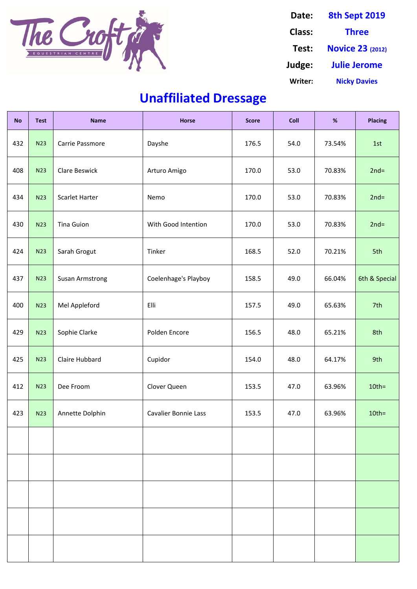| <b>No</b> | <b>Test</b> | <b>Name</b>            | <b>Horse</b>                | <b>Score</b> | <b>Coll</b> | $\%$   | <b>Placing</b> |
|-----------|-------------|------------------------|-----------------------------|--------------|-------------|--------|----------------|
| 432       | <b>N23</b>  | Carrie Passmore        | Dayshe                      | 176.5        | 54.0        | 73.54% | 1st            |
| 408       | <b>N23</b>  | <b>Clare Beswick</b>   | Arturo Amigo                | 170.0        | 53.0        | 70.83% | $2nd=$         |
| 434       | <b>N23</b>  | <b>Scarlet Harter</b>  | Nemo                        | 170.0        | 53.0        | 70.83% | $2nd=$         |
| 430       | <b>N23</b>  | <b>Tina Guion</b>      | With Good Intention         | 170.0        | 53.0        | 70.83% | $2nd=$         |
| 424       | <b>N23</b>  | Sarah Grogut           | Tinker                      | 168.5        | 52.0        | 70.21% | 5th            |
| 437       | <b>N23</b>  | <b>Susan Armstrong</b> | Coelenhage's Playboy        | 158.5        | 49.0        | 66.04% | 6th & Special  |
| 400       | <b>N23</b>  | Mel Appleford          | Elli                        | 157.5        | 49.0        | 65.63% | 7th            |
| 429       | N23         | Sophie Clarke          | Polden Encore               | 156.5        | 48.0        | 65.21% | 8th            |
| 425       | <b>N23</b>  | Claire Hubbard         | Cupidor                     | 154.0        | 48.0        | 64.17% | 9th            |
| 412       | <b>N23</b>  | Dee Froom              | Clover Queen                | 153.5        | 47.0        | 63.96% | $10th =$       |
| 423       | <b>N23</b>  | Annette Dolphin        | <b>Cavalier Bonnie Lass</b> | 153.5        | 47.0        | 63.96% | $10th =$       |
|           |             |                        |                             |              |             |        |                |



**Date: 8th Sept 2019 Writer: Nicky Davies Judge: Julie Jerome Class: Three Test: Novice 23 (2012)**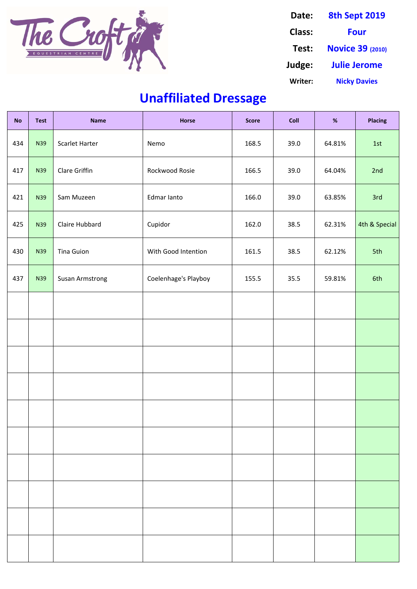| <b>No</b> | <b>Test</b> | <b>Name</b>            | <b>Horse</b>         | <b>Score</b> | <b>Coll</b> | %      | <b>Placing</b> |
|-----------|-------------|------------------------|----------------------|--------------|-------------|--------|----------------|
| 434       | <b>N39</b>  | <b>Scarlet Harter</b>  | Nemo                 | 168.5        | 39.0        | 64.81% | 1st            |
| 417       | <b>N39</b>  | <b>Clare Griffin</b>   | Rockwood Rosie       | 166.5        | 39.0        | 64.04% | 2nd            |
| 421       | <b>N39</b>  | Sam Muzeen             | Edmar lanto          | 166.0        | 39.0        | 63.85% | 3rd            |
| 425       | <b>N39</b>  | Claire Hubbard         | Cupidor              | 162.0        | 38.5        | 62.31% | 4th & Special  |
| 430       | N39         | <b>Tina Guion</b>      | With Good Intention  | 161.5        | 38.5        | 62.12% | 5th            |
| 437       | <b>N39</b>  | <b>Susan Armstrong</b> | Coelenhage's Playboy | 155.5        | 35.5        | 59.81% | 6th            |
|           |             |                        |                      |              |             |        |                |
|           |             |                        |                      |              |             |        |                |
|           |             |                        |                      |              |             |        |                |
|           |             |                        |                      |              |             |        |                |
|           |             |                        |                      |              |             |        |                |
|           |             |                        |                      |              |             |        |                |



**Date: 8th Sept 2019 Writer: Nicky Davies Judge: Julie Jerome Class: Four Test: Novice 39 (2010)**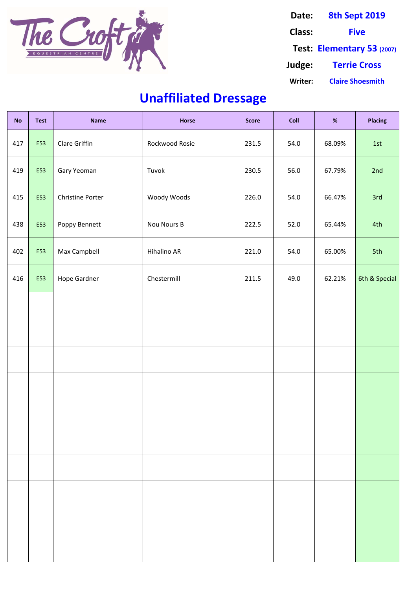| <b>No</b> | <b>Test</b> | <b>Name</b>             | <b>Horse</b>       | <b>Score</b> | Coll | %      | <b>Placing</b> |
|-----------|-------------|-------------------------|--------------------|--------------|------|--------|----------------|
| 417       | E53         | <b>Clare Griffin</b>    | Rockwood Rosie     | 231.5        | 54.0 | 68.09% | 1st            |
| 419       | E53         | Gary Yeoman             | Tuvok              | 230.5        | 56.0 | 67.79% | 2nd            |
| 415       | E53         | <b>Christine Porter</b> | Woody Woods        | 226.0        | 54.0 | 66.47% | 3rd            |
| 438       | E53         | Poppy Bennett           | <b>Nou Nours B</b> | 222.5        | 52.0 | 65.44% | 4th            |
| 402       | E53         | Max Campbell            | Hihalino AR        | 221.0        | 54.0 | 65.00% | 5th            |
| 416       | E53         | Hope Gardner            | Chestermill        | 211.5        | 49.0 | 62.21% | 6th & Special  |
|           |             |                         |                    |              |      |        |                |
|           |             |                         |                    |              |      |        |                |
|           |             |                         |                    |              |      |        |                |
|           |             |                         |                    |              |      |        |                |
|           |             |                         |                    |              |      |        |                |
|           |             |                         |                    |              |      |        |                |

#### **Unaffiliated Dressage**



**Writer: Claire Shoesmith Judge: Terrie Cross Date: 8th Sept 2019 Class: Five Test: Elementary 53 (2007)**